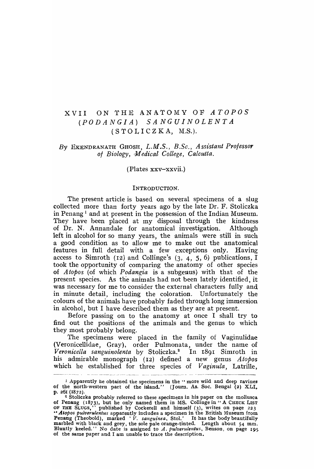## XVII ON THE AN ATOlVIY OF *A TOPOS (PODANGIA) SANGUINOLENTA*   $(STOLICZKA, M.S.).$

#### *By* EKSNDRANATH GHOSH, *L.M.S., B.Sc., Assistant Professor of Biology, ,M edical College, Calcutta.*

(Plates xxv-xxvii.)

#### INTRODUCTION.

The present article is based on several specimens of a slug collected more than forty years ago by the late Dr. F. Stoliczka in Penang<sup>1</sup> and at present in the possession of the Indian Museum. They have been placed at my disposal through the kindness of Dr. N. Annandale for anatomical investigation. Although left in alcohol for so many years, the animals were still in such a good condition as to allow me to make out the anatomical features in full detail with a few exceptions only. Having access to Simroth (12) and Collinge's (3,  $4$ , 5, 6) publications, I took the opportunity of comparing the anatorny of other species of *Atopos* (of which *Podangia* is a subgenus) with that of the present species. As the animals had not been lately identified, it was necessary for me to consider the external characters fully and in minute detail, including the coloration. Unfortunately the colours of the animals have probably faded through long immersion in alcohol, but I have described them as they are at present.

Before passing on to the anatomy at once I shall try to find out the positions of the animals and the genus to which they most probably belong.

The specimens were placed in the family of Vaginulidae (Veronicellidae, Gray), order Pulmonata, under the name of *Veronicella sanguinolenta* by Stoliczka.2 In 1891 Simroth in his admirable monograph (12) defined a new genus *Atopos*  which he established for three species of *Vaginula,* Latrille,

<sup>&</sup>lt;sup>1</sup> Apparently he obtained the specimens in the "more wild and deep ravines of the north-western part of the island." (Journ. As. Soc. Bengal (2) XLI, p. 261 (1872).

<sup>&</sup>lt;sup>2</sup> Stoliczka probably referred to these specimens in his paper on the mollusca of Penang (1873), but he only named them in MS. Collinge in" A CHECK LIST of THE SLUGS." published by Cockerell and himself (3), writes on pa~e 223 .. *AIOPOS pulverulentus* apparently includes a specimen in the British Museum from Penang (Theobold), marked *'V. sanguinea,* Stol.' It has the body beautifully marbled with black and grey, the sole pale orange-tinted. Length about 54 mm. Bluntly keeled." No date is assigned to *A. pulverulentus,* Benson, on page 19S of the same paper and I am unable to trace the description.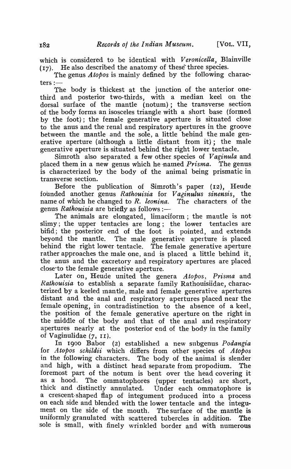which is considered to be identical with *Veronicella,* Blainville  $(17)$ . He also described the anatomy of these three species.

The genus *Atopos* is mainly defined by the' following characters  $:$   $-$ 

The body is thickest at the junction of the anterior onethird and posterior two-thirds, with a median keel on the dorsal surface of the mantle (notum); the transverse section of the body forms an isosceles triangle with a short base (formed by the foot); the female generative aperture is situated close to the anus and the renal and respiratory apertures in the groove between the mantle and the sole, a little behind the male generative aperture (although a little distant from it); the male generative aperture is situated behind the right lower tentacle.

Simroth also separated a few other species of *Vaginula* and placed them in a new genus which he -natned *Prisma.* The genus is characterized by the body of the animal being prismatic in transverse section.

Before the publication of Simroth's paper (12), Heude founded another genus *Rathouisia* for *Vaginulus sinensis,* the name of which he changed to *R. leonina.* The characters of the genus *Rathouisia* are briefly as follows :-

The animals are elongated, limaciform; the mantle is not slimy; the upper tentacles are long; the lower tentacles are bifid; the posterior end of the foot is pointed, and extends beyond the mantle. The male generative aperture is placed behind the right lower tentacle. The female generative aperture rather approaches the male one, and is placed a little behind it, the anus and the excretory and respiratory apertures are placed close·to the female generative aperture.

Later on, Heude united the genera *Atopos, Prisma* and *Rathouisia* to establish a separate family Rathouisiidae, characterized by a keeled mantle, male and female generative apertures distant and the anal and respiratory apertures placed near the female opening, in contradistinction to the absence of a keel, the position of the female generative aperture on the right in the middle of the body and that of the anal and respiratory apertures nearly at the posterior end of the body in the family of Vaginulidae (7, II).

In 1900 Babor (2) established a new subgenus *Podangia*  for *Atopos schildii* which differs from other species of *Atopos* in the following characters. The body of the animal is slender and high, with a distinct head separate from propodium. The foremost part of the notum is bent over the head covering it as a hood. The ommatophores (upper tentacles) are short, thick and distinctly annulated. Under each ommatophore is a crescent-shaped flap of integument produced into a process on each side and blended with the lower tentacle and the integument on the side of the mouth. The surface of the mantle is uniformly granulated with scattered tubercles in addition. The sole is small, with finely wrinkled border and with numerous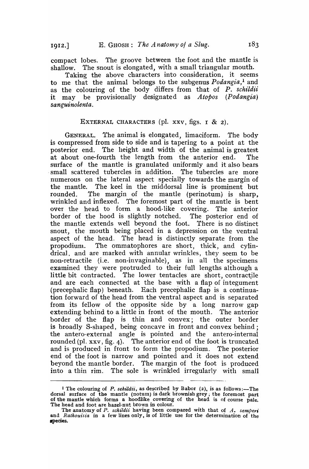compact lobes. The groove between the foot and the mantle is shallow. The snout is elongated, with a small triangular mouth.

Taking the above characters into consideration, it seems to me that the animal belongs to the subgenus *Podangia*,<sup>1</sup> and as the colouring of the body differs from that of *P. schildii* it may be provisionally designated as *Atopos (Podangia) sanguinolenta.* 

#### EXTERNAL CHARACTERS (pl.  $xxv$ , figs.  $1 \& 2$ ).

GENERAL. 1'he animal is elongated, limaciform. The body is compressed from side to side and is tapering to a point at the posterior end. The height and width of the animal is greatest at about one-fourth the length from the anterior end. The surface of the mantle is granulated uniformly and it also bears . small scattered tubercles in addition. The tubercles are more numerous on the lateral aspect specially towards the margin of the mantle. The keel in the middorsal line is prominent but rounded. The margin of the mantle (perinotum) is sharp, wrinkled and inflexed. The foremost part of the mantle is bent over the head to form a hood-like covering. The anterior border of the hood is slightly notched. The posterior end of the mantle extends well beyond the foot. There is no distinct snout, the mouth being placed in a depression on the ventral aspect of the head. The head is distinctly separate from the propodium. The ommatophores are short, thick, and cylindrical, and are marked with annular wrinkles, they seem to be non-retractile (i.e. non-invaginable), as in all the specimens examined they were protruded to their full lengths although a little bit contracted. The lower tentacles are short, contractile and are each connected at the base with a flap of integument (precephalic flap) beneath. Each precephalic flap is a continuation forward of the head from the ventral aspect and is separated from its fellow of the opposite side by a long narrow gap extending behind to a little in front of the mouth. The anterior border of the flap is thin and convex; the outer border is broadly S-shaped, being concave in front and convex behind; the antero-external angle is pointed and the antero-internal rounded (pl. xxv, fig. 4). The anterior end of the foot is truncated and is produced' in front to form the propodium. The posterior end of the foot is narrow and pointed and it does not extend beyond the mantle border. The margin of the foot is produced into a thin rim. The sole is wrinkled irregularly with small

I The colouring of P. *schildii*, as described by Babor (2), is as follows:-The dorsal surface of the mantle (notum) is dark brownish grey; the foremost part of the mantle which forms a hoodlike covering of the head is of course pale. The head and foot are hazel-nut brown in colour.

The anatomy of P. *schildii* having been compared with that of *A. semperi*  and *Rathouisia* in a few lines only, is of little use for the determination of the .pecies.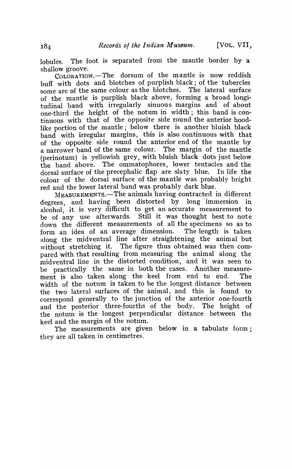lobules. The foot is separated from the mantle border by a shallow groove.

COLORATION.-The dorsum of the mantle is now reddish buff with dots and blotches of purplish black; of the tubercles some are of the same colour as the blotches. The lateral surface of the mantle is purplish black above, forming a broad longitudinal band with irregularly sinuous margins and of about one-third the height of the notum in width; this band is continuous with that of the opposite side round the anterior hoodlike portion of the mantle; below there is another bluish black band with irregular margins, this is also continuous with that of the opposite side round the anterior end of the mantle by a narrower band of the same colour. The margin of the mantle (perinotum) is yellowish grey, with bluish black dots just below the band above. The ommatophores, lower tentacles and the dorsal surface of the precephalic flap are slaty blue. In life the colour of the dorsal surface of the mantle was probably bright red and the lower lateral band was probably dark blue.

MEASUREMENTS.-The animals having contracted in different degrees, and having been distorted by long' immersion in alcohol, it is very difficult to get an accurate measurement to be of any use afterwards. Still it was thought best to note down the different measurements of all the specimens so as to form an idea of an average dimension. The length is taken along the midventral line after straightening the animal but without stretching it. The figure thus obtained was then compared with that resulting from measuring the animal along the midventral line in the distorted condition, and it was seen to be practically the same in both the cases. Another measurement is also taken along the keel from end to end. The width of the notum is taken to be the longest distance between the two lateral surfaces of the animal, and this is found to correspond generally to the junction of the anterior one-fourth and the posterior three-fourths of the body. The height of the notum is the longest perpendicular distance between the keel and the margin of the notum.

The measurements are given below in a tabulate form; they are all taken in centimetres.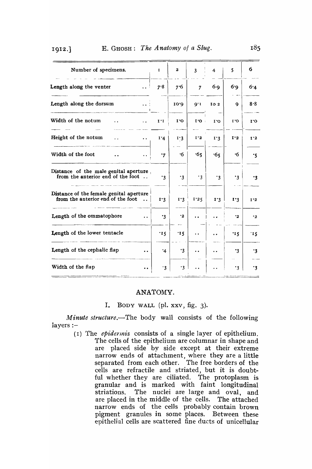| Number of specimens.                                                                                 | $\mathbf{I}$          | $\mathbf{z}$           | $\overline{3}$ | $\overline{\mathbf{4}}$ | 5                        | 6                      |
|------------------------------------------------------------------------------------------------------|-----------------------|------------------------|----------------|-------------------------|--------------------------|------------------------|
| Length along the venter<br>$\ddot{\phantom{a}}$                                                      | 7.8                   | 7.6                    | $\overline{7}$ | $6-9$                   | 6.9                      | 6.4                    |
| Length along the dorsum<br>$\sim$ $\sim$ $\frac{1}{2}$                                               |                       | O'OI                   | 9.1            | IO <sub>2</sub>         | $\mathbf Q$              | 8.8                    |
| Width of the notum<br>$\ddot{\phantom{0}}$<br>$\ddot{\phantom{0}}$                                   | 1'1                   | $\mathbf{I}^{\bullet}$ | $I'$ O         | $\mathbf{I}^{\bullet}$  | $\mathbf{C}^{\bullet}$ I | $\mathbf{I}^{\bullet}$ |
| Height of the notum<br>$\ddot{\phantom{a}}$<br>$\ddot{\phantom{a}}$                                  | 1'4                   | 1.3                    | 1.2            | $I^{\prime}3$           | I'2                      | 1.2                    |
| Width of the foot<br>$\ddot{\phantom{0}}$                                                            | $\cdot$ 7             | ۰6                     | .65            | .65                     | ۰6                       | ۰5                     |
| Distance of the male genital aperture,<br>from the anterior end of the foot $\dots$                  | $\cdot$ 3             | $\cdot$ 3              | $\cdot$ 3      | $\cdot$ 3               | $\cdot$ 3                | .3                     |
| Distance of the female genital aperture<br>from the anterior end of the foot<br>$\ddot{\phantom{a}}$ | $I^{\prime}3$         | 1.3                    | 1.25           | 1.3                     | I'3                      | 1'2                    |
| Length of the ommatophore<br>$\ddot{\phantom{0}}$                                                    | $\cdot$ 3             | ۰2                     |                |                         | $\cdot$ <sub>2</sub>     | $\cdot$ 2              |
| Length of the lower tentacle                                                                         | $\cdot$ r $\varsigma$ | 15                     |                |                         | '15                      | 15                     |
| Length of the cephalic flap<br>$\ddot{\phantom{a}}$                                                  | $\cdot$ 4             | $\cdot$ 3              | . .            | $\ddot{\phantom{a}}$    | .3                       | $\cdot$ 3              |
| Width of the flap<br>$\ddot{\phantom{0}}$                                                            | $\cdot$ 3             | $\cdot$ 3              |                |                         | $\cdot$ 3                | $\cdot$ 3              |

# I912 .] E. GHOSH: *The Anatomy* 0/ *a Slug,*

#### ANATOMY.

## 1. BODY WALL (pI. xxv, fig. 3),

*Minute structure.*—The body wall consists of the following layers :-

> (r) 1'he *epidennis* consists of a single layer of epithelium. The cells of the epithelium are columnar in shape and are placed side by side except at their extreme narrow ends of attachment, where they are a little separated from each other. The free borders of the cells are refractile and striated, but it is doubtful whether they are ciliated, The protoplasm is granular and is marked with faint longitudinal striations. The nuclei are large and oval, and are placed in the middle of the cells. The attached narrow ends of the cells probably contain brown pigment granules in some places. Between these epithelial cells are scattered fine ducts of unicellular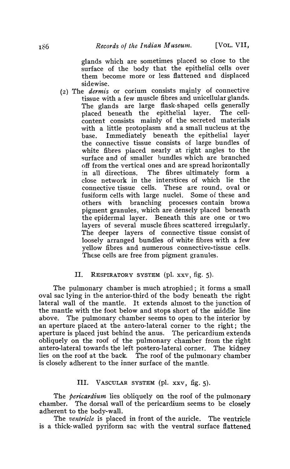glands which are sometimes placed so close to the surface of the body that the epithelial cells over them become more or less flattened and displaced sidewise.

(2) The *dermis* or corium consists mainly of connective tissue with a few muscle fibres and unicellular glands. The glands are large flask-shaped cells generally placed beneath the epithelial layer. The cellcontent consists mainly of the secreted materials with a little protoplasm and a small nucleus at the base. Immediately beneath the epithelial layer the connective tissue consists of large bundles of white fibres placed nearly at right angles to the surface and of smaller bundles which are branched off from the vertical ones and are spread horizontally in all directions. The fibres ultimately form a close network in the interstices of which lie the connective tissue cells. These are round, oval or fusiform cells with large nuclei. Some of these and others with branching processes contain brown pigment granules, which are densely placed beneath the epidermal layer. Beneath this are one or two layers of several muscle fibres scattered irregularly. The deeper layers of connective tissue consist of loosely arranged bundles of white fibres with a few yellow fibres and numerous connective-tissue cells. These cells are free from pigment granules.

#### II. RESPIRATORY SYSTEM (pI. xxv, fig. 5).

The pulmonary chamber is much atrophied; it forms a small oval sac lying in the anterior-third of the body beneath the right lateral wall of the mantle. It extends ahnost to the junction of the mantle with the foot below and stops short of the middle line above. The pulmonary chamber seems to open to the interior by an aperture placed at the antero-Iateral corner to the right; the aperture is placed just behind the anus. The pericardium extends obliquely on the roof of the pulmonary chamber from the right antero-Iateral towards the left postero-lateral corner. 'J'he kidney lies on the roof at the back. The roof of the pulmonary chamber is closely adherent to the inner surface of the mantle.

## III. VASCULAR SYSTEM (pl. xxv, fig. 5).

The *pericardium* lies obliquely on the roof of the pulmonary chamber. The dorsal wall of the pericardium seems to be closely adherent to the body-wall.

The *ventricle* is placed in front of the auricle. The ventricle is a thick-walled pyriform sac with the ventral surface flattened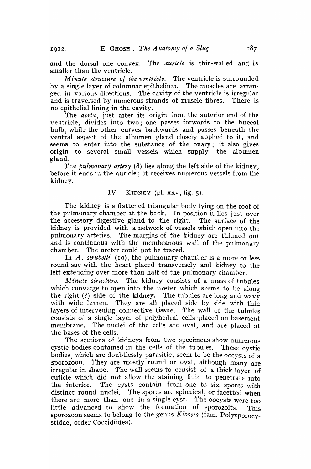and the dorsal one convex. The *auricle* is thin-walled and is smaller than the ventricle.

*Minute structure of the ventricle.*—The ventricle is surrounded by a single layer of columnar epithelium. The muscles are arranged in various directions. The cavity of the ventricle is irregular and is traversed by numerous strands of muscle fibres. There is no epithelial lining in the cavity.

The *aorta,* just after its origin from the anterior end of the ventricle, divides into two; one passes forwards to the buccal bulb, while the other curves backwards and passes beneath the ventral aspect of the albumen gland closely applied to it, and seems to enter into the substance of the ovary; it also gives origin to several small vessels which supply the albumen gland.

The *pulmonary artery* (8) lies along the left side of the kidney, before it ends in the auricle; it receives numerous vessels from the kidney.

#### IV KIDNEY (pI. xxv, fig. 5).

The kidney is a flattened triangular body lying on the roof of the pulmonary chamber at the back. In position it lies just over the accessory digestive gland to the right. The surface of the kidney is provided with a network of vessels which open into the pulmonary arteries. The margins of the kidney are thinned out and is continuous with the membranous wall of the pulmonary chamber. The ureter could not be traced.

In A. *strubelli* (10), the pulmonary chamber is a more or less round sac with the heart placed transversely and kidney to the left extending over more than half of the pulmonary chamber.

*Minute structure.*-The kidney consists of a mass of tubules which converge to open into the ureter which seems to lie along the right  $(?)$  side of the kidney. The tubules are long and wavy with wide lumen. They are all placed side by side with thin layers of intervening connective tissue. The wall of the tubules consists of a single layer of polyhedral cells placed on basement membrane. The nuclei of the cells are oval, and are placed at the bases of the cells.

The sections of kidneys from two specimens show numerous cystic bodies contained in the cells of the tubules. These cystic bodies, which are doubtlessly parasitic, seem to be the oocysts of a sporozoon. They are mostly round or oval, although many are irregular in shape. The wall seems to consist of a thick layer of cuticle which did not allow the staining fluid to penetrate into the interior. The cysts contain from one to six spores with distinct round nuclei. The spores are spherical, or facetted when there are more than one in a single cyst. The oocysts were too little advanced to show the formation of sporozoits. This sporozoon seems to belong to the genus  $Klossia$  (fam. Polysporocystidae, order Coccidiidea).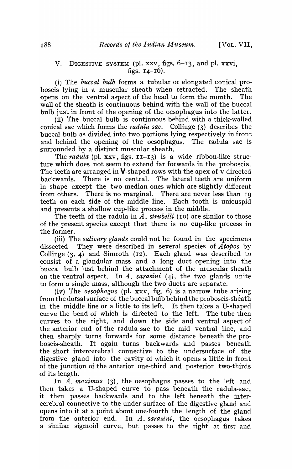## v. DIGESTIVE SYSTEM (pI. xxv, figs. 6-13, and pI. xxvi, figs.  $14 - 16$ ).

(i) The *buccal bulb* forms a tubular or elongated conical proboscis lying in a muscular sheath when retracted. The sheath opens on the ventral aspect of the head to form the mouth. The wall of the sheath is continuous behind with the wall of the buccal bulb just in front of the opening of the oesophagus into the latter.

(ii) The buccal bulb is continuous behind with a thick-walled conical sac which forms the *radula sac.* Collinge (3) describes the buccal bulb as divided into two portions lying respectively in front and behind the opening of the oesophagus. The radula sac is surrounded by a distinct muscular sheath.

The *radula* (pl. xxv, figs.  $I1-I3$ ) is a wide ribbon-like structure which does not seem to extend far forwards in the proboscis. The teeth are arranged in **V**-shaped rows with the apex of  $\overline{v}$  directed backwards. There is no central. The lateral teeth are uniform in shape except the two median ones which are slightly different from others. There is no marginal. There are never less than 19 teeth on each side of the middle line. Each tooth is unicuspid and presents a shallow cup-like process in the middle.

The teeth of the radula in *A*. *strubelli* (10) are similar to those of the present species except that there is no cup-like process in the former.

(iii) The *salivary glands* could not be found in the specimens dissected. They were described in several species of *A topos* by Collinge (3, 4) and Simroth (12). Each gland was described to consist of a glandular mass and a long duct opening into the bucca bulb just behind the attachment of the muscular sheath on the ventral aspect. In *A. sarasini* (4), the two glands unite to form a single mass, although the two ducts are separate.

(iv) The *oesophagus* (pI. xxv, fig. 6) is a narrow tube arising from the dorsal surface of the buccal bulb behind the proboscis-sheath in the middle line or a little to its left. It then takes a U-shaped curve the bend of which is directed to the left. The tube then curves to the right, and down the side and ventral aspect of the anterior end of the radula sac to the mid ventral line, and then sharply turns forwards for some distance beneath the proboscis-sheath. It again turns backwards and passes beneath the short intercerebral connective to the undersurface of the digestive gland into the cavity of which it opens a little in front of the junction of the anterior one-third and posterior two-thirds of its length.

In A. maximus (3), the oesophagus passes to the left and then takes a U-shaped curve to pass beneath the radula-sac, it then passes backwards and to the left beneath the intercerebral connective to the under surface of the digestive gland and opens into it at a point about one-fourth the length of the gland from the anterior end. In *A. sarasini,* the oesophagus takes a similar sigmoid curve, but passes to the right at first and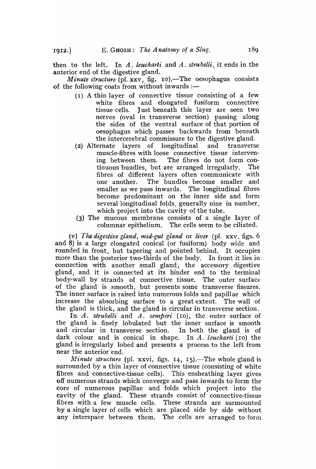then to the left. In *A. leuckarti* and *A. strubelli,* it ends in the anterior end of the digestive gland.

*Minute structure* (pl. xxv, fig. 10).—The oesophagus consists of the following coats from without inwards : $-$ 

- (I) A thin layer of connective tissue consisting of a few white fibres and elongated fusiform connective tissue cells. Just beneath this layer are seen two nerves (oval in transverse section) passing along the sides of the ventral surface of that portion of oesophagus which passes backwards from beneath the intercerebral commissure to the digestive gland.
- (2) Alternate layers of longitudinal and transverse muscle-fibres with loose connective tissue intervening between them. The fibres do not form continuous bundles, but are arranged irregularly. The fibres of different layers often communicate with one another. The bundles become smaller and smaller as we pass inwards. The longitudinal fibres become predominant on the inner side and form several longitudinal folds, generally nine in number, which project into the cavity of the tube.
- (3) The mucous membrane consists of a single layer of columnar epithelium. The cells seem to be ciliated.

(v) The digestive gland, mid-gut gland or liver (pl. xxv, figs. 6) and 8) is a large elongated conical (or fusiform) body wide and rounded in front, but tapering and pointed behind. It occupies more than the posterior two-thirds of the body. In front it lies in connection with another small gland, the accessory digestive gland, and it is connected at its hinder end to the terminal body-wall by strands of connective tissue. The outer surface of the gland is smooth, but presents some transverse fissures. The inner surface is raised into numerous folds and papillae which increase the absorbing surface to a great extent. The wall of the gland is thick, and the gland is circular in transverse section.

In *A. strubelli* and *A. semperi* (10), the outer surface of the gland is finely lobulated but the inner surface is smooth and circular in transverse section. In both the gland is of dark colour and is conical in shape. In *A. leuckarti* (10) the gland is irregularly lobed and presents a process to the left from near the anterior end.

*Minute structure* (pl. xxvi, figs. 14, 15).—The whole gland is surrounded by a thin layer of connective tissue (consisting of white fibres and connective-tissue cells). This ensheathing layer gives off numerous strands which converge and pass inwards to form the core of numerous papillae and folds which project into the cavity of the gland. These strands consist of connective-tissue fibres with a few muscle cells. These strands are surmounted by a single layer of cells which are placed side by side without any interspace between them. The cells are arranged to form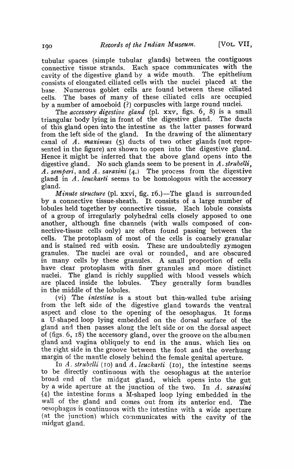tubular spaces (simple tubular glands) between the contiguous connective tissue strands. Each space communicates with the cavity of the digestive gland by a wide mouth. The epithelium consists of elongated ciliated cells with the nuclei placed at the base. Numerous goblet cells are found between these ciliated cel1s. The bases of many of these ciliated cells are occupied by a number of amoeboid (?) corpuscles with large round nuclei.

The *accessory digestive gland* (pl. xxv, figs. 6, 8) is a small prider body lying in front of the digestive gland. The ducts triangular body lying in front of the digestive gland. of this gland open into the intestine as the latter passes forward from the left side of the gland. In the drawing of the alimentary canal of *A. 1naximus* (5) ducts of two other glands (not represented in the figure) are shown to open into the digestive gland. Hence it might be inferred that the above gland opens into the digestive gland. No such glands seem to be present in A. *strubelli,*  A. *semperi,* and A. *sarasini* (4.) The process from the digestive gland in A. *leuckarti* seems to be homologous with the accessory gland.

*Minute structure* (pl. xxvi, fig. 16.)—The gland is surrounded by a connective tissue-sheath. It consists of a large number of lobules held together by connective tissue. Each lobule consists of a group of irregularly polyhedral cells closely apposed to one another, although fine channels (with walls composed of connective-tissue cells only) are often found passing between the cells. The protoplasm of most of the cells is coarsely granular and is stained red with eosin. These are undoubtedly zymogen granules. The nuclei are oval or rounded, and are obscured in many cells by these granules. A small proportion of cells have clear protoplasm with finer granules and more distinct nuclei. The gland is richly supplied with blood vessels which are placed inside the lobules. They generally form bundles in the middle of the lobules.

(vi) The *intestine* is a stout but thin-walled tube arising from the left side of the digestive gland towards the ventral aspect and close to the opening of the oesophagus. It forms a U-shaped loop lying embedded on the dorsal surface of the gland and then passes along the left side or on the dorsal aspect of (figs. 6, IS) the accessory gland, over the groove on the albumen gland and vagina obliquely to end in the anus, which lies on the right side in the groove between the foot and the overhung margin of the mantle closely behind the female genital aperture.

In A. *strubelli* (10) and A. *leuckarti* (10), the intestine seems to be directly continuous with the oesophagus at the anterior broad end of the midgut gland, which opens into the gut by a wide aperture at the junction of the two. In *A. sarasini*   $(4)$  the intestine forms a M-shaped loop lying embedded in the wall of the gland and comes out from its anterior end. The oesophagus is continuous with the intestine \vith a wide aperture (at the junction) which communicates with the cavity of the midgut gland.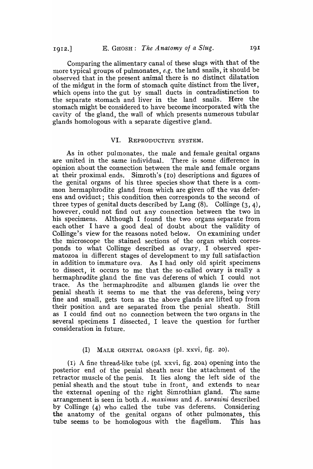Comparing the alimentary canal of these slugs with that of the more typical groups of pulmonates, e.g. the land snails, it should be observed that in the present animal there is no distinct dilatation of the midgut in the form of stomach quite distinct from the liver, which opens into the gut by small ducts in contradistinction to the separate stomach and liver in the land snails. Here the stomach might be considered to have become incorporated with the cavity of the gland, the wall of which presents numerous tubular glands homologous with a separate digestive gland.

#### VI. REPRODUCTIVE SYSTEM.

As in other pulmonates, the male and female genital organs are united in the same individual. There is some difference in opinion about the connection between the male and female organs at their proximal ends. Simroth's (ro) descriptions and figures of the genital organs of his three species show that there is a comrnon hermaphrodite gland from which are given off the vas deferens and oviduct; this condition then corresponds to the second of three types of genital ducts described by Lang  $(8)$ . Collinge  $(3, 4)$ , however, could not find out any connection between the two in his specimens. Although I found the two organs separate from each other I have a good deal of doubt about the validity of Collinge's view for the reasons noted below. On examining under the microscope the stained sections of the organ which corresponds to what Collinge described as ovary, I observed spermatozoa in different stages of development to my full satisfaction in addition to immature ova. As I had only old spirit specimens to dissect, it occurs to me that the so-called ovary is really a hermaphrodite gland the fine vas deferens of which I could not trace. As the hermaphrodite and albumen glands lie over the penial sheath it seems to me that the vas deferens, being very fine and small, gets torn as the above glands are lifted up from their position and are separated from the penial sheath. Still as I could find out no connection between the two organs in the several specimens I dissected, I leave the question for further consideration in future.

#### (I) MALE GENITAL ORGANS (pl. xxvi, fig. 20).

(I) A fine thread-like tube (pI. xxvi, fig. 20a) opening into the posterior end of the penial sheath near the attachment of the retractor muscle of the penis. It lies along the left side of the penial sheath and the stout tube in front, and extends to near the external opening of the right Simrothian gland. The same arrangement is seen in both A. *maximus* and A. *sarasini* described by Collinge (4) who called the tube vas deferens. Considering the anatomy of the genital organs of other pulmonates, this tube seems to be homologous with the flagellum. This has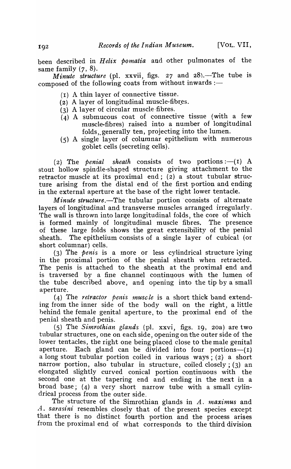been described in *Helix pomatia* and other pulmonates of the same family  $(7, 8)$ .

*Minute structure* (pl. xxvii, figs. 27 and  $28$ ).-The tube is composed of the following coats from without inwards :-

- $(1)$  A thin layer of connective tissue.
- (2) A layer of longitudinal muscle-fibres.
- (3) A layer of circular muscle·fibres.
- $(4)$  A submucous coat of connective tissue (with a few muscle-fibres) raised into a number of longitudinal folds,.generally ten, projecting into the lumen.
- (5) A single layer of columnar epithelium with numerous goblet cells (secreting cells).

(2) The *penial sheath* consists of two portions :-- (1) A stout hollow spindle-shaped structure giving attachment to the retractor muscle at its proximal end; (2) a stout tubular structure arising from the distal end of the first portion and ending in the external aperture at the base of the right lower tentacle.

*Minute structure.*-The tubular portion consists of alternate layers of longitudinal and transverse muscles arranged irregularly. The wall is thrown into large longitudinal folds, the core of which is formed mainly of longitudinal muscle fibres. The presence of these large folds shows the great extensibility of the penial sheath. The epithelium consists of a single layer of cubical (or short columnar) cells.

(3) The *penis* is a rnore or less cylindrical structure lying in the proximal portion of the penial sheath when retracted. The penis is attached to the sheath at the proximal end and is traversed by a fine channel continqous with the lumen of the tube described above, and opening into the tip by a small aperture.

(4) The *retractor penis muscle* is a short thick band extending from the inner side of the body wall on the right, a little hehind the female genital aperture, to the proximal end of the penial sbeath and penis.

(5) The *Simrothian glands* (pI. xxvi, figs. 19, 2oa) are two tubular structures, one on each side, opening on the outer side of the lower tentacles, the right one being placed close to the male genital aperture. Each gland can be divided into four portions-- $(I)$ a long stout tubular portion coiled in various ways; (2) a short narrow portion, also tubular in structure, coiled closely; (3) an elongated slightly curved conical portion continuous with the second one at the tapering end and ending in the next in a broad base; (4) a very short narrow tube with a small cylindrical process from the outer side.

The structure of the Simrothian glands in A. maximus and A. *sarasini* resembles closely that of the present species except that there is no distinct fourth portion and the process arises from the proximal end of what corresponds to the third division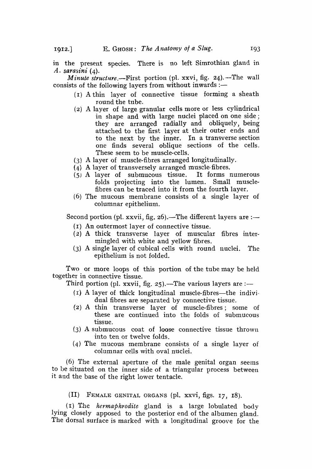in the present species. There is no left Simrothian gland in *A. sarasini (4).* 

*Minute structure.*--First portion (pl. xxvi, fig. 24).--The wall consists of the following layers from without inwards :-

- (I) A thin layer of connective tissue forming a sheath round the tube.
- (2) A layer of large granular cells more or less cylindrical in shape and with large nuclei placed on one side; they are arranged radially and obliquely, being attached to the first layer at their outer ends and to the next by the inner. In a transverse section one finds several oblique sections of the cells. These seem to be muscle-cells.
- (3) A layer of muscle-fibres arranged longitudinally.
- (4) A layer of transversely arranged muscle-fibres.
- (5) A layer of submucous tissue. It forms numerous folds projecting into the lumen. Small musclefibres can be traced into it from the fourth layer.
- (6) The mucous membrane consists of a single layer of columnar epithelium.

Second portion (pl. xxvii, fig. 26).—The different layers are :—

- (1) An outermost layer of connective tissue.
- $(2)$  A thick transverse layer of muscular fibres intermingled with white and yellow fibres.
- (3) A single layer of cubical cells with round nuclei. The epithelium is not folded.

Two or more loops of this portion of the tube may be held together in connective tissue.

Third portion (pl. xxvii, fig. 25).—The various layers are :—

- $(1)$  A layer of thick longitudinal muscle-fibres—the individual fibres are separated by connective tissue.
- (2) A thin transverse layer of muscle-fibres; some of these are continued into the folds of submucous tissue.
- (3) A submucous coat of loose connective tissue thrown into ten or twelve folds.
- (4) The mucous membrane consists of a single layer of columnar cells with oval nuclei.

 $(6)$  The external aperture of the male genital organ seems to be situated on the inner side of a triangular process between it and the base of the right lower tentacle.

(II) FEMALE GENll'AL ORGANS (pI. xxvi, figs. 17, 18).

(I) The *hermaphrodite* gland is a large lobulated body lying closely apposed to the posterior end of the albumen gland. The dorsal surface is marked with a longitudinal groove for the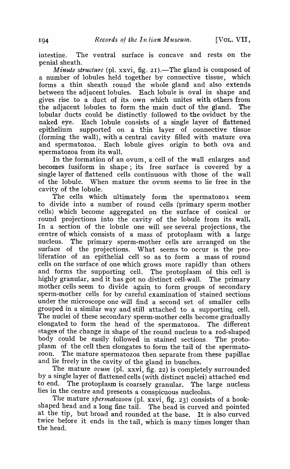intestine. The ventral surface is concave and rests on the penial sheath.

*Minute structure* (pl. xxvi, fig. 21).—The gland is composed of a number of lobules held together by connective tissue, which forms a thin sheath round the whole gland and also extends between the adjacent lobules. Each lobule is oval in shape and gives rise to a duct of its own which unites with others from the adjacent lobules to form the main duct of the gland. The lobular ducts could be distinctly followed to the oviduct by the naked eye. Each lobule consists of a single layer of flattened epithelium supported on a thin layer of connective tissue (forming the wall), with a central cavity filled with mature ova and spermatozoa. Each lobule gives origin to both ova and spermatozoa from its wall.

In the formation of an ovum, a cell of the wall enlarges and becomes fusiform in shape; its free surface is covered by a single layer of flattened cells continuous with those of the wall of the lobule. When 'mature the ovum seems to lie free in the cavity of the lobule.

The cells which ultimately form the spermatozoa seem to divide into a number of round cells (primary sperm-mother cells) which become aggregated on the surface of conical or round projections into the cavity of the lobule from its wall. In a section of the lobule one will see several projections, the centre of which consists of a mass of protoplasm with a large nucleus. The primary sperm-mother cells are arranged on the surface of the projections. What seems to occur is the proliferation of an epithelial cell so as to form a mass of round cells on the surface of one which grows more rapidly than others and forms the supporting cell. The protoplasm of this cell is highly granular, and it has got no distinct cell-wall. The primary mother cells seem to divide again to form groups of secondary sperm-mother cells for by careful examination of stained sections under the microscope one will find a second set of smaller cells grouped in a similar way and still attached to a supporting cell. The nuclei of these secondary sperm-mother cells become gradually elongated to form the head of the spermatozoa. The different stages of the change in shape of the round nucleus to a rod-shaped body could be easily followed in stained sections. The protoplasm of the cell then elongates to form the tail of the spermato-The mature spermatozoa then separate from these papillae and lie freely in the cavity of the gland in bunches.

The mature *ovum* (pl. xxvi, fig. 22) is completely surrounded by a single layer of flattened cells (with distinct nuclei) attached end<br>to end. The protoplasm is coarsely granular. The large nucleus The protoplasm is coarsely granular. The large nucleus lies in the centre and presents a conspicuous nucleolus.

The mature *spermatozoon* (pl. xxvi, fig. 23) consists of a hookshaped head and a long fine tail. The head is curved and pointed at the tip, but broad and rounded at the base. It is also curved twice before it ends in the tail, which is many times longer than the head.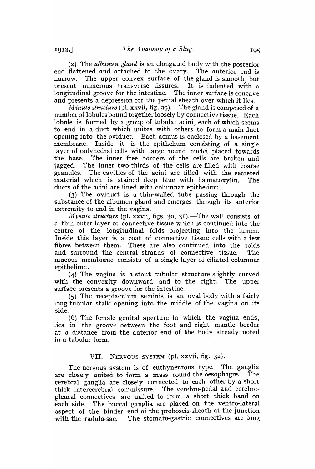(2) The *albumen gland* is an elongated body with the posterior end' flattened and attached to the ovary. The anterior end is narrow. The upper convex surface of the gland is smooth, but present numerous transverse fissures. It is indented with a longitudinal groove for the intestine. The inner surface is concave and presents a depression for the penial sheath over which it lies.

*Minute structure* (pl. xxvii, fig. 29).—The gland is composed of a number of lobules bound together loosely by connective tissue. Each lobule is formed by a group of tubular acini, each of which seems to end in a duct which unites with others to form a main duct opening into the oviduct. Each acinus is enclosed by a basement membrane. Inside it is the epithelium consisting of a single layer of polyhedral cells with large round nuclei placed towards the base. The inner free borders of the cells are broken and iagged. The inner two-thirds of the cells are filled with coarse granules. The cavities of the acini are filled with the secreted material which is stained deep blue with hæmatoxylin. The ducts of the acini are lined with columnar epithelium.

(3) The oviduct is a thin-walled tube passing through the substance of the albumen gland and emerges through its anterior extremity to end in the vagina.

*Minute structure* (pl. xxvii, figs. 30, 31).—The wall consists of a thin outer layer of connective tissue which is continued into the centre of the longitudinal folds projecting into the lumen. Inside this layer is a coat of connective tissue cells with a few fibres between them. These are also continned into the folds and surround the central strands of connective tissue. The mucous membrane consists of a single layer of ciliated columnar epithelium.

(4) The vagina is a stout tubular structure slightly curved with the convexity downward and to the right. The upper surface presents a groove for the intestine.

(5) The receptaculum seminis is an oval body with a fairly long tubular stalk opening into the middle of the vagina on its side.

(6) The female genital aperture in which the vagina ends, lies in the groove between the foot and right mantle border at a distance from the anterior end of the body already noted in a tabular form.

### VII. NERVOUS SYSTEM (pl. xxvii, fig. 32).

The nervous system is of euthyneurous type. The ganglia are closely united to form a mass round the oesophagus. The cerebral ganglia are closely connected to each other by a short thick intercerebral commissure. The cerebra-pedal and cerebropleural connectives are united to form a short thick band on each side. The buccal ganglia are placed on the ventro-lateral aspect of the binder end of the proboscis-sheath at the junction with the radula-sac. The stomato-gastric connectives are long